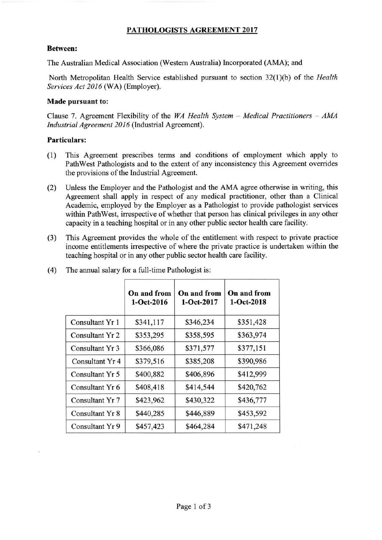# **PATHOLOGISTS AGREEMENT 2017**

### **Between:**

The Australian Medical Association (Western Australia) Incorporated (AMA); and

North Metropolitan Health Service established pursuant to section 32(1 )(b) of the *Health Services Act 2016* (WA) (Employer).

### **Made pursuant to:**

Clause 7. Agreement Flexibility of the *WA Health System - Medical Practitioners - AMA industrial Agreement 2016* (Industrial Agreement).

### **Particulars:**

- (1) This Agreement prescribes terms and conditions of employment which apply to Path West Pathologists and to the extent of any inconsistency this Agreement overrides the provisions of the Industrial Agreement.
- (2) Unless the Employer and the Pathologist and the AMA agree otherwise in writing, this Agreement shall apply in respect of any medical practitioner, other than a Clinical Academic, employed by the Employer as a Pathologist to provide pathologist services within Path West, irrespective of whether that person has clinical privileges in any other capacity in a teaching hospital or in any other public sector health care facility.
- (3) This Agreement provides the whole of the entitlement with respect to private practice income entitlements irrespective of where the private practice is undertaken within the teaching hospital or in any other public sector health care facility.

|                 | On and from<br>$1-Oct-2016$ | On and from<br>$1-$ Oct-2017 | On and from<br>$1-Oct-2018$ |
|-----------------|-----------------------------|------------------------------|-----------------------------|
| Consultant Yr 1 | \$341,117                   | \$346,234                    | \$351,428                   |
| Consultant Yr 2 | \$353,295                   | \$358,595                    | \$363,974                   |
| Consultant Yr 3 | \$366,086                   | \$371,577                    | \$377,151                   |
| Consultant Yr 4 | \$379,516                   | \$385,208                    | \$390,986                   |
| Consultant Yr 5 | \$400,882                   | \$406,896                    | \$412,999                   |
| Consultant Yr 6 | \$408,418                   | \$414,544                    | \$420,762                   |
| Consultant Yr 7 | \$423,962                   | \$430,322                    | \$436,777                   |
| Consultant Yr 8 | \$440,285                   | \$446,889                    | \$453,592                   |
| Consultant Yr 9 | \$457,423                   | \$464,284                    | \$471,248                   |

( 4) The annual salary for a full-time Pathologist is: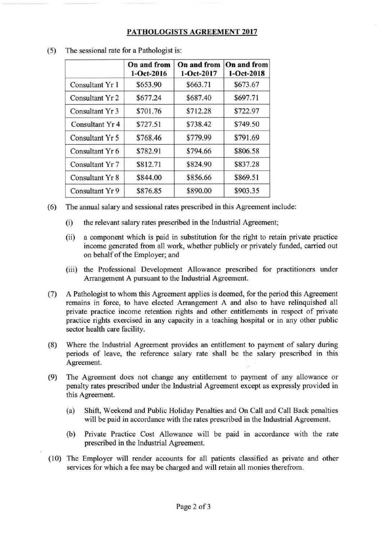## **PATHOLOGISTS AGREEMENT 2017**

|                            | On and from<br>$1-Oct-2016$ | On and from<br>$1-$ Oct-2017 | On and from<br>$1 - Oct - 2018$ |
|----------------------------|-----------------------------|------------------------------|---------------------------------|
| Consultant Yr 1            | \$653.90                    | \$663.71                     | \$673.67                        |
| Consultant Yr 2            | \$677.24                    | \$687.40                     | \$697.71                        |
| Consultant Yr 3            | \$701.76                    | \$712.28                     | \$722.97                        |
| Consultant Yr <sub>4</sub> | \$727.51                    | \$738.42                     | \$749.50                        |
| Consultant Yr 5            | \$768.46                    | \$779.99                     | \$791.69                        |
| Consultant Yr 6            | \$782.91                    | \$794.66                     | \$806.58                        |
| Consultant Yr 7            | \$812.71                    | \$824.90                     | \$837.28                        |
| Consultant Yr 8            | \$844.00                    | \$856.66                     | \$869.51                        |
| Consultant Yr 9            | \$876.85                    | \$890.00                     | \$903.35                        |

(5) The sessional rate for a Pathologist is:

- (6) The annual salary and sessional rates prescribed in this Agreement include:
	- (i) the relevant salary rates prescribed in the Industrial Agreement;
	- (ii) a component which is paid in substitution for the right to retain private practice income generated from all work, whether publicly or privately funded, carried out on behalf of the Employer; and
	- (iii) the Professional Development Allowance prescribed for practitioners under Arrangement A pursuant to the Industrial Agreement.
- (7) A Pathologist to whom this Agreement applies is deemed, for the period this Agreement remains in force, to have elected Arrangement A and also to have relinquished all private practice income retention rights and other entitlements in respect of private practice rights exercised in any capacity in a teaching hospital or in any other public sector health care facility.
- (8) Where the Industrial Agreement provides an entitlement to payment of salary during periods of leave, the reference salary rate shall be the salary prescribed in this Agreement.
- (9) The Agreement does not change any entitlement to payment of any allowance or penalty rates prescribed under the Industrial Agreement except as expressly provided in this Agreement.
	- (a) Shift, Weekend and Public Holiday Penalties and On Call and Call Back penalties will be paid in accordance with the rates prescribed in the Industrial Agreement.
	- (b) Private Practice Cost Allowance will be paid in accordance with the rate prescribed in the Industrial Agreement.
- ( 10) The Employer will render accounts for all patients classified as private and other services for which a fee may be charged and will retain all monies therefrom.